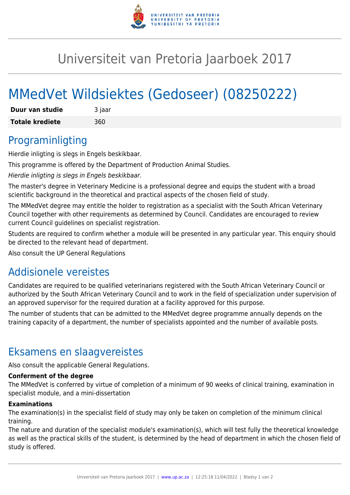

## Universiteit van Pretoria Jaarboek 2017

# MMedVet Wildsiektes (Gedoseer) (08250222)

| Duur van studie        | 3 jaar |
|------------------------|--------|
| <b>Totale krediete</b> | 360    |

### Programinligting

Hierdie inligting is slegs in Engels beskikbaar.

This programme is offered by the Department of Production Animal Studies.

Hierdie inligting is slegs in Engels beskikbaar.

The master's degree in Veterinary Medicine is a professional degree and equips the student with a broad scientific background in the theoretical and practical aspects of the chosen field of study.

The MMedVet degree may entitle the holder to registration as a specialist with the South African Veterinary Council together with other requirements as determined by Council. Candidates are encouraged to review current Council guidelines on specialist registration.

Students are required to confirm whether a module will be presented in any particular year. This enquiry should be directed to the relevant head of department.

Also consult the UP General Regulations

### Addisionele vereistes

Candidates are required to be qualified veterinarians registered with the South African Veterinary Council or authorized by the South African Veterinary Council and to work in the field of specialization under supervision of an approved supervisor for the required duration at a facility approved for this purpose.

The number of students that can be admitted to the MMedVet degree programme annually depends on the training capacity of a department, the number of specialists appointed and the number of available posts.

### Eksamens en slaagvereistes

Also consult the applicable General Regulations.

#### **Conferment of the degree**

The MMedVet is conferred by virtue of completion of a minimum of 90 weeks of clinical training, examination in specialist module, and a mini-dissertation

#### **Examinations**

The examination(s) in the specialist field of study may only be taken on completion of the minimum clinical training.

The nature and duration of the specialist module's examination(s), which will test fully the theoretical knowledge as well as the practical skills of the student, is determined by the head of department in which the chosen field of study is offered.